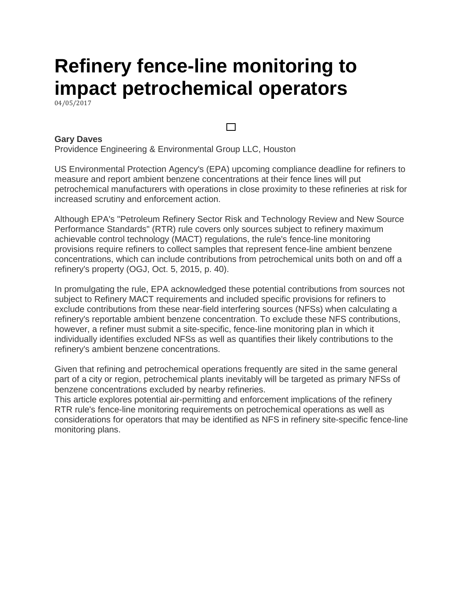# **Refinery fence-line monitoring to impact petrochemical operators**

04/05/2017

#### **Gary Daves**

Providence Engineering & Environmental Group LLC, Houston

US Environmental Protection Agency's (EPA) upcoming compliance deadline for refiners to measure and report ambient benzene concentrations at their fence lines will put petrochemical manufacturers with operations in close proximity to these refineries at risk for increased scrutiny and enforcement action.

 $\Box$ 

Although EPA's "Petroleum Refinery Sector Risk and Technology Review and New Source Performance Standards" (RTR) rule covers only sources subject to refinery maximum achievable control technology (MACT) regulations, the rule's fence-line monitoring provisions require refiners to collect samples that represent fence-line ambient benzene concentrations, which can include contributions from petrochemical units both on and off a refinery's property (OGJ, Oct. 5, 2015, p. 40).

In promulgating the rule, EPA acknowledged these potential contributions from sources not subject to Refinery MACT requirements and included specific provisions for refiners to exclude contributions from these near-field interfering sources (NFSs) when calculating a refinery's reportable ambient benzene concentration. To exclude these NFS contributions, however, a refiner must submit a site-specific, fence-line monitoring plan in which it individually identifies excluded NFSs as well as quantifies their likely contributions to the refinery's ambient benzene concentrations.

Given that refining and petrochemical operations frequently are sited in the same general part of a city or region, petrochemical plants inevitably will be targeted as primary NFSs of benzene concentrations excluded by nearby refineries.

This article explores potential air-permitting and enforcement implications of the refinery RTR rule's fence-line monitoring requirements on petrochemical operations as well as considerations for operators that may be identified as NFS in refinery site-specific fence-line monitoring plans.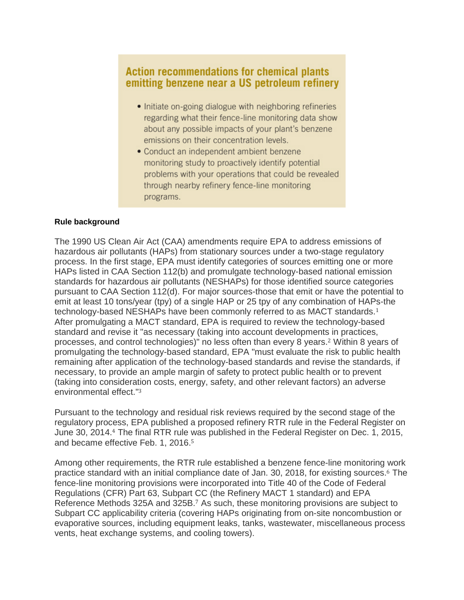### **Action recommendations for chemical plants** emitting benzene near a US petroleum refinery

- Initiate on-going dialogue with neighboring refineries regarding what their fence-line monitoring data show about any possible impacts of your plant's benzene emissions on their concentration levels.
- Conduct an independent ambient benzene monitoring study to proactively identify potential problems with your operations that could be revealed through nearby refinery fence-line monitoring programs.

#### **Rule background**

The 1990 US Clean Air Act (CAA) amendments require EPA to address emissions of hazardous air pollutants (HAPs) from stationary sources under a two-stage regulatory process. In the first stage, EPA must identify categories of sources emitting one or more HAPs listed in CAA Section 112(b) and promulgate technology-based national emission standards for hazardous air pollutants (NESHAPs) for those identified source categories pursuant to CAA Section 112(d). For major sources-those that emit or have the potential to emit at least 10 tons/year (tpy) of a single HAP or 25 tpy of any combination of HAPs-the technology-based NESHAPs have been commonly referred to as MACT standards.<sup>1</sup> After promulgating a MACT standard, EPA is required to review the technology-based standard and revise it "as necessary (taking into account developments in practices, processes, and control technologies)" no less often than every 8 years.<sup>2</sup> Within 8 years of promulgating the technology-based standard, EPA "must evaluate the risk to public health remaining after application of the technology-based standards and revise the standards, if necessary, to provide an ample margin of safety to protect public health or to prevent (taking into consideration costs, energy, safety, and other relevant factors) an adverse environmental effect."<sup>3</sup>

Pursuant to the technology and residual risk reviews required by the second stage of the regulatory process, EPA published a proposed refinery RTR rule in the Federal Register on June 30, 2014.<sup>4</sup> The final RTR rule was published in the Federal Register on Dec. 1, 2015, and became effective Feb. 1, 2016.<sup>5</sup>

Among other requirements, the RTR rule established a benzene fence-line monitoring work practice standard with an initial compliance date of Jan. 30, 2018, for existing sources.<sup>6</sup> The fence-line monitoring provisions were incorporated into Title 40 of the Code of Federal Regulations (CFR) Part 63, Subpart CC (the Refinery MACT 1 standard) and EPA Reference Methods 325A and 325B.<sup>7</sup> As such, these monitoring provisions are subject to Subpart CC applicability criteria (covering HAPs originating from on-site noncombustion or evaporative sources, including equipment leaks, tanks, wastewater, miscellaneous process vents, heat exchange systems, and cooling towers).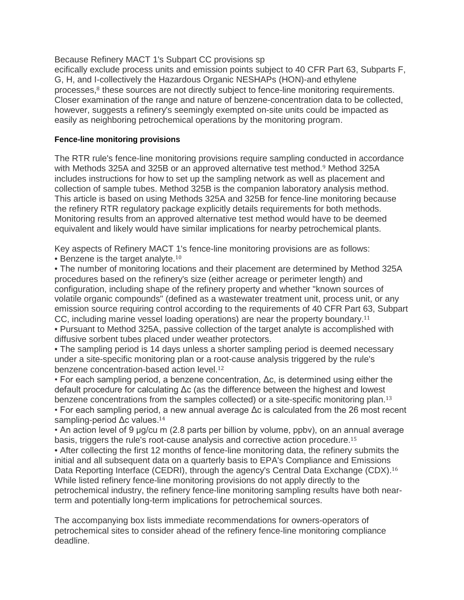Because Refinery MACT 1's Subpart CC provisions sp

ecifically exclude process units and emission points subject to 40 CFR Part 63, Subparts F, G, H, and I-collectively the Hazardous Organic NESHAPs (HON)-and ethylene processes,<sup>8</sup> these sources are not directly subject to fence-line monitoring requirements. Closer examination of the range and nature of benzene-concentration data to be collected, however, suggests a refinery's seemingly exempted on-site units could be impacted as easily as neighboring petrochemical operations by the monitoring program.

#### **Fence-line monitoring provisions**

The RTR rule's fence-line monitoring provisions require sampling conducted in accordance with Methods 325A and 325B or an approved alternative test method.<sup>9</sup> Method 325A includes instructions for how to set up the sampling network as well as placement and collection of sample tubes. Method 325B is the companion laboratory analysis method. This article is based on using Methods 325A and 325B for fence-line monitoring because the refinery RTR regulatory package explicitly details requirements for both methods. Monitoring results from an approved alternative test method would have to be deemed equivalent and likely would have similar implications for nearby petrochemical plants.

Key aspects of Refinery MACT 1's fence-line monitoring provisions are as follows: • Benzene is the target analyte.<sup>10</sup>

• The number of monitoring locations and their placement are determined by Method 325A procedures based on the refinery's size (either acreage or perimeter length) and configuration, including shape of the refinery property and whether "known sources of volatile organic compounds" (defined as a wastewater treatment unit, process unit, or any emission source requiring control according to the requirements of 40 CFR Part 63, Subpart CC, including marine vessel loading operations) are near the property boundary.<sup>11</sup>

• Pursuant to Method 325A, passive collection of the target analyte is accomplished with diffusive sorbent tubes placed under weather protectors.

• The sampling period is 14 days unless a shorter sampling period is deemed necessary under a site-specific monitoring plan or a root-cause analysis triggered by the rule's benzene concentration-based action level.<sup>12</sup>

• For each sampling period, a benzene concentration, Δc, is determined using either the default procedure for calculating Δc (as the difference between the highest and lowest benzene concentrations from the samples collected) or a site-specific monitoring plan.<sup>13</sup> • For each sampling period, a new annual average Δc is calculated from the 26 most recent sampling-period Δc values.<sup>14</sup>

• An action level of 9 μg/cu m (2.8 parts per billion by volume, ppbv), on an annual average basis, triggers the rule's root-cause analysis and corrective action procedure.<sup>15</sup>

• After collecting the first 12 months of fence-line monitoring data, the refinery submits the initial and all subsequent data on a quarterly basis to EPA's Compliance and Emissions Data Reporting Interface (CEDRI), through the agency's Central Data Exchange (CDX).<sup>16</sup> While listed refinery fence-line monitoring provisions do not apply directly to the petrochemical industry, the refinery fence-line monitoring sampling results have both nearterm and potentially long-term implications for petrochemical sources.

The accompanying box lists immediate recommendations for owners-operators of petrochemical sites to consider ahead of the refinery fence-line monitoring compliance deadline.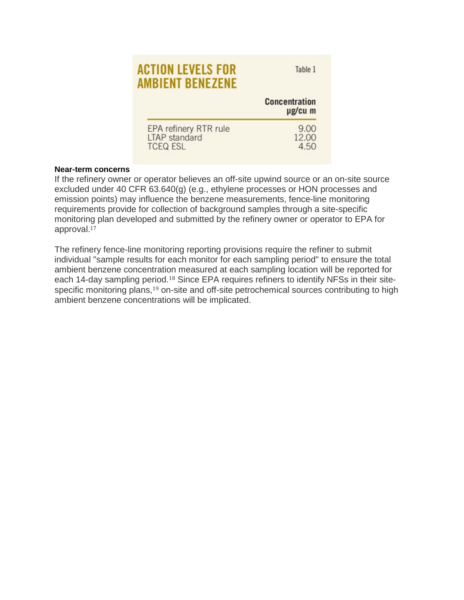## **ACTION LEVELS FOR AMBIENT BENEZENE**

Table 1

|                                        | <b>Concentration</b><br>µg/cu m |
|----------------------------------------|---------------------------------|
| EPA refinery RTR rule<br>LTAP standard | 9.00<br>12.00                   |
| <b>TCEQ ESL</b>                        | 4.50                            |

#### **Near-term concerns**

If the refinery owner or operator believes an off-site upwind source or an on-site source excluded under 40 CFR 63.640(g) (e.g., ethylene processes or HON processes and emission points) may influence the benzene measurements, fence-line monitoring requirements provide for collection of background samples through a site-specific monitoring plan developed and submitted by the refinery owner or operator to EPA for approval.<sup>17</sup>

The refinery fence-line monitoring reporting provisions require the refiner to submit individual "sample results for each monitor for each sampling period" to ensure the total ambient benzene concentration measured at each sampling location will be reported for each 14-day sampling period.<sup>18</sup> Since EPA requires refiners to identify NFSs in their sitespecific monitoring plans,<sup>19</sup> on-site and off-site petrochemical sources contributing to high ambient benzene concentrations will be implicated.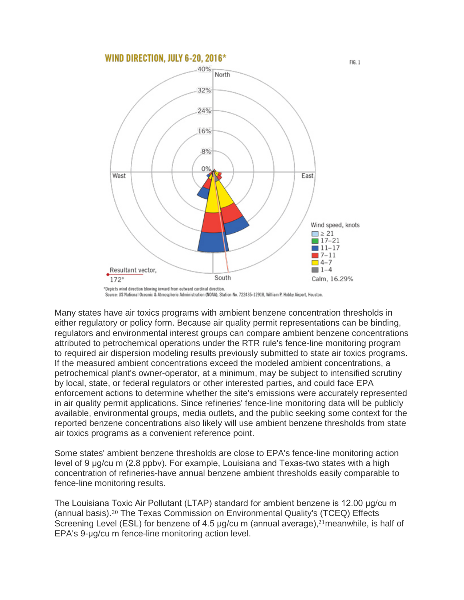

Source: US National Oceanic & Atmospheric Administration (NOAA), Station No. 722435-12918, William P. Hobby Airport, Houston.

Many states have air toxics programs with ambient benzene concentration thresholds in either regulatory or policy form. Because air quality permit representations can be binding, regulators and environmental interest groups can compare ambient benzene concentrations attributed to petrochemical operations under the RTR rule's fence-line monitoring program to required air dispersion modeling results previously submitted to state air toxics programs. If the measured ambient concentrations exceed the modeled ambient concentrations, a petrochemical plant's owner-operator, at a minimum, may be subject to intensified scrutiny by local, state, or federal regulators or other interested parties, and could face EPA enforcement actions to determine whether the site's emissions were accurately represented in air quality permit applications. Since refineries' fence-line monitoring data will be publicly available, environmental groups, media outlets, and the public seeking some context for the reported benzene concentrations also likely will use ambient benzene thresholds from state air toxics programs as a convenient reference point.

Some states' ambient benzene thresholds are close to EPA's fence-line monitoring action level of 9 μg/cu m (2.8 ppbv). For example, Louisiana and Texas-two states with a high concentration of refineries-have annual benzene ambient thresholds easily comparable to fence-line monitoring results.

The Louisiana Toxic Air Pollutant (LTAP) standard for ambient benzene is 12.00 μg/cu m (annual basis).<sup>20</sup> The Texas Commission on Environmental Quality's (TCEQ) Effects Screening Level (ESL) for benzene of 4.5 μg/cu m (annual average),<sup>21</sup>meanwhile, is half of EPA's 9-μg/cu m fence-line monitoring action level.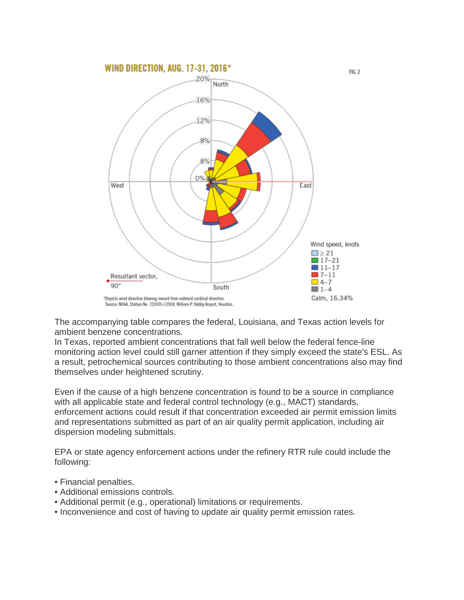

The accompanying table compares the federal, Louisiana, and Texas action levels for ambient benzene concentrations.

In Texas, reported ambient concentrations that fall well below the federal fence-line monitoring action level could still garner attention if they simply exceed the state's ESL. As a result, petrochemical sources contributing to those ambient concentrations also may find themselves under heightened scrutiny.

Even if the cause of a high benzene concentration is found to be a source in compliance with all applicable state and federal control technology (e.g., MACT) standards, enforcement actions could result if that concentration exceeded air permit emission limits and representations submitted as part of an air quality permit application, including air dispersion modeling submittals.

EPA or state agency enforcement actions under the refinery RTR rule could include the following:

- Financial penalties.
- Additional emissions controls.
- Additional permit (e.g., operational) limitations or requirements.
- Inconvenience and cost of having to update air quality permit emission rates.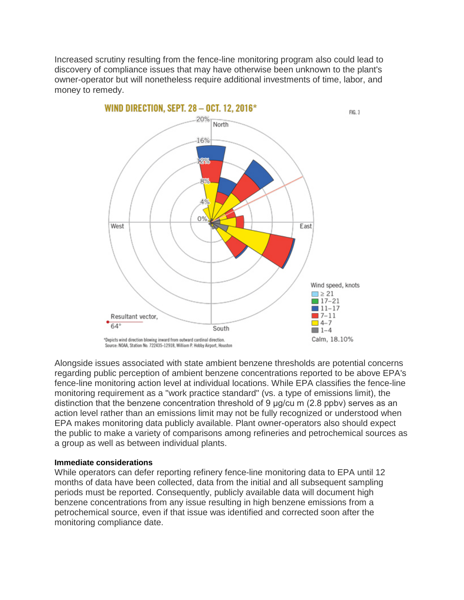Increased scrutiny resulting from the fence-line monitoring program also could lead to discovery of compliance issues that may have otherwise been unknown to the plant's owner-operator but will nonetheless require additional investments of time, labor, and money to remedy.



Alongside issues associated with state ambient benzene thresholds are potential concerns regarding public perception of ambient benzene concentrations reported to be above EPA's fence-line monitoring action level at individual locations. While EPA classifies the fence-line monitoring requirement as a "work practice standard" (vs. a type of emissions limit), the distinction that the benzene concentration threshold of 9 μg/cu m (2.8 ppbv) serves as an action level rather than an emissions limit may not be fully recognized or understood when EPA makes monitoring data publicly available. Plant owner-operators also should expect the public to make a variety of comparisons among refineries and petrochemical sources as a group as well as between individual plants.

#### **Immediate considerations**

While operators can defer reporting refinery fence-line monitoring data to EPA until 12 months of data have been collected, data from the initial and all subsequent sampling periods must be reported. Consequently, publicly available data will document high benzene concentrations from any issue resulting in high benzene emissions from a petrochemical source, even if that issue was identified and corrected soon after the monitoring compliance date.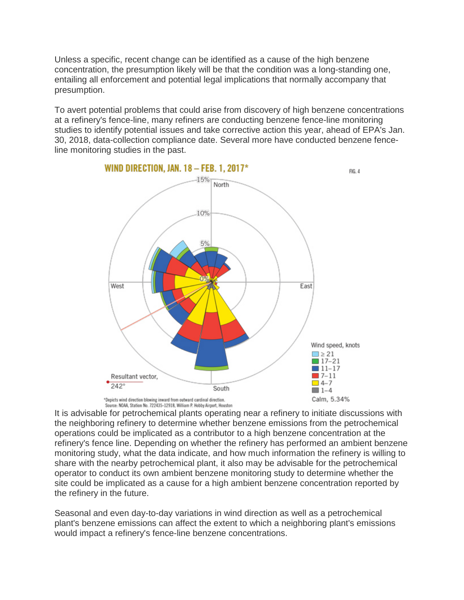Unless a specific, recent change can be identified as a cause of the high benzene concentration, the presumption likely will be that the condition was a long-standing one, entailing all enforcement and potential legal implications that normally accompany that presumption.

To avert potential problems that could arise from discovery of high benzene concentrations at a refinery's fence-line, many refiners are conducting benzene fence-line monitoring studies to identify potential issues and take corrective action this year, ahead of EPA's Jan. 30, 2018, data-collection compliance date. Several more have conducted benzene fenceline monitoring studies in the past.



Source: NOAA, Station No. 722435-12918, William P. Hobby Airport, Houston<br>It is advisable for petrochemical plants operating near a refinery to initiate discussions with the neighboring refinery to determine whether benzene emissions from the petrochemical operations could be implicated as a contributor to a high benzene concentration at the refinery's fence line. Depending on whether the refinery has performed an ambient benzene monitoring study, what the data indicate, and how much information the refinery is willing to share with the nearby petrochemical plant, it also may be advisable for the petrochemical operator to conduct its own ambient benzene monitoring study to determine whether the site could be implicated as a cause for a high ambient benzene concentration reported by the refinery in the future.

Seasonal and even day-to-day variations in wind direction as well as a petrochemical plant's benzene emissions can affect the extent to which a neighboring plant's emissions would impact a refinery's fence-line benzene concentrations.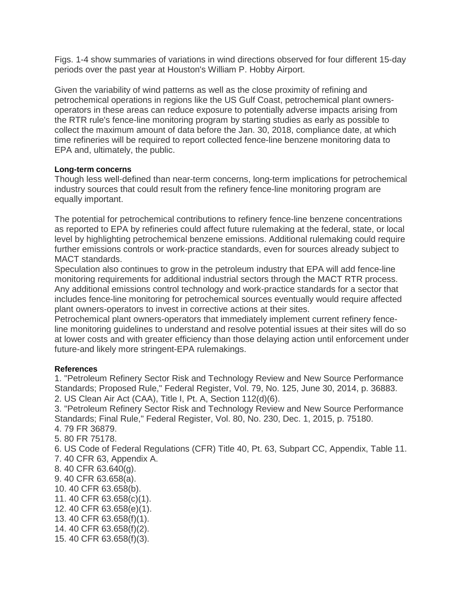Figs. 1-4 show summaries of variations in wind directions observed for four different 15-day periods over the past year at Houston's William P. Hobby Airport.

Given the variability of wind patterns as well as the close proximity of refining and petrochemical operations in regions like the US Gulf Coast, petrochemical plant ownersoperators in these areas can reduce exposure to potentially adverse impacts arising from the RTR rule's fence-line monitoring program by starting studies as early as possible to collect the maximum amount of data before the Jan. 30, 2018, compliance date, at which time refineries will be required to report collected fence-line benzene monitoring data to EPA and, ultimately, the public.

#### **Long-term concerns**

Though less well-defined than near-term concerns, long-term implications for petrochemical industry sources that could result from the refinery fence-line monitoring program are equally important.

The potential for petrochemical contributions to refinery fence-line benzene concentrations as reported to EPA by refineries could affect future rulemaking at the federal, state, or local level by highlighting petrochemical benzene emissions. Additional rulemaking could require further emissions controls or work-practice standards, even for sources already subject to MACT standards.

Speculation also continues to grow in the petroleum industry that EPA will add fence-line monitoring requirements for additional industrial sectors through the MACT RTR process. Any additional emissions control technology and work-practice standards for a sector that includes fence-line monitoring for petrochemical sources eventually would require affected plant owners-operators to invest in corrective actions at their sites.

Petrochemical plant owners-operators that immediately implement current refinery fenceline monitoring guidelines to understand and resolve potential issues at their sites will do so at lower costs and with greater efficiency than those delaying action until enforcement under future-and likely more stringent-EPA rulemakings.

#### **References**

1. "Petroleum Refinery Sector Risk and Technology Review and New Source Performance Standards; Proposed Rule," Federal Register, Vol. 79, No. 125, June 30, 2014, p. 36883. 2. US Clean Air Act (CAA), Title I, Pt. A, Section 112(d)(6).

3. "Petroleum Refinery Sector Risk and Technology Review and New Source Performance Standards; Final Rule," Federal Register, Vol. 80, No. 230, Dec. 1, 2015, p. 75180.

4. 79 FR 36879.

5. 80 FR 75178.

6. US Code of Federal Regulations (CFR) Title 40, Pt. 63, Subpart CC, Appendix, Table 11. 7. 40 CFR 63, Appendix A.

- 8. 40 CFR 63.640(g).
- 9. 40 CFR 63.658(a).
- 10. 40 CFR 63.658(b).
- 11. 40 CFR 63.658(c)(1).
- 12. 40 CFR 63.658(e)(1).
- 13. 40 CFR 63.658(f)(1).
- 14. 40 CFR 63.658(f)(2).
- 15. 40 CFR 63.658(f)(3).